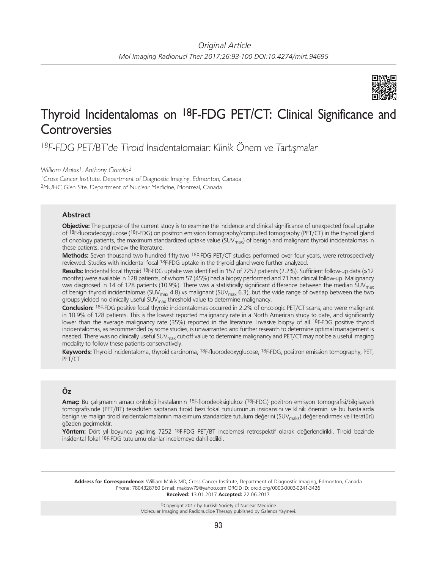

# Thyroid Incidentalomas on 18F-FDG PET/CT: Clinical Significance and **Controversies**

<sup>18</sup>F-FDG PET/BT'de Tiroid İnsidentalomalar: Klinik Önem ve Tartışmalar

*William Makis1, Anthony Ciarallo2*

<sup>1</sup> Cross Cancer Institute, Department of Diagnostic Imaging, Edmonton, Canada <sup>2</sup>MUHC Glen Site, Department of Nuclear Medicine, Montreal, Canada

# **Abstract**

**Objective:** The purpose of the current study is to examine the incidence and clinical significance of unexpected focal uptake of 18F-fluorodeoxyglucose (18F-FDG) on positron emission tomography/computed tomography (PET/CT) in the thyroid gland of oncology patients, the maximum standardized uptake value (SUV $_{\text{max}}$ ) of benign and malignant thyroid incidentalomas in these patients, and review the literature.

**Methods:** Seven thousand two hundred fifty-two 18F-FDG PET/CT studies performed over four years, were retrospectively reviewed. Studies with incidental focal 18F-FDG uptake in the thyroid gland were further analyzed.

**Results:** Incidental focal thyroid 18F-FDG uptake was identified in 157 of 7252 patients (2.2%). Sufficient follow-up data (≥12 months) were available in 128 patients, of whom 57 (45%) had a biopsy performed and 71 had clinical follow-up. Malignancy was diagnosed in 14 of 128 patients (10.9%). There was a statistically significant difference between the median SUV<sub>max</sub> of benign thyroid incidentalomas (SUV<sub>max</sub> 4.8) vs malignant (SUV<sub>max</sub> 6.3), but the wide range of overlap between the two groups yielded no clinically useful SUV<sub>max</sub> threshold value to determine malignancy.

**Conclusion:** 18F-FDG positive focal thyroid incidentalomas occurred in 2.2% of oncologic PET/CT scans, and were malignant in 10.9% of 128 patients. This is the lowest reported malignancy rate in a North American study to date, and significantly lower than the average malignancy rate (35%) reported in the literature. Invasive biopsy of all <sup>18</sup>F-FDG positive thyroid incidentalomas, as recommended by some studies, is unwarranted and further research to determine optimal management is needed. There was no clinically useful SUV<sub>max</sub> cut-off value to determine malignancy and PET/CT may not be a useful imaging modality to follow these patients conservatively.

**Keywords:** Thyroid incidentaloma, thyroid carcinoma, 18F-fluorodeoxyglucose, 18F-FDG, positron emission tomography, PET, PET/CT

# **Öz**

**Amaç:** Bu çalışmanın amacı onkoloji hastalarının 18F-florodeoksiglukoz (18F-FDG) pozitron emisyon tomografisi/bilgisayarlı tomografisinde (PET/BT) tesadüfen saptanan tiroid bezi fokal tutulumunun insidansını ve klinik önemini ve bu hastalarda benign ve malign tiroid insidentalomalarının maksimum standardize tutulum değerini (SUV<sub>maks</sub>) değerlendirmek ve literatürü gözden geçirmektir.

**Yöntem:** Dört yıl boyunca yapılmış 7252 18F-FDG PET/BT incelemesi retrospektif olarak değerlendirildi. Tiroid bezinde insidental fokal 18F-FDG tutulumu olanlar incelemeye dahil edildi.

**Address for Correspondence:** William Makis MD, Cross Cancer Institute, Department of Diagnostic Imaging, Edmonton, Canada Phone: 7804328760 E-mail: makisw79@yahoo.com ORCID ID: orcid.org/0000-0003-0241-3426 **Received:** 13.01.2017 **Accepted:** 22.06.2017

> ©Copyright 2017 by Turkish Society of Nuclear Medicine Molecular Imaging and Radionuclide Therapy published by Galenos Yayınevi.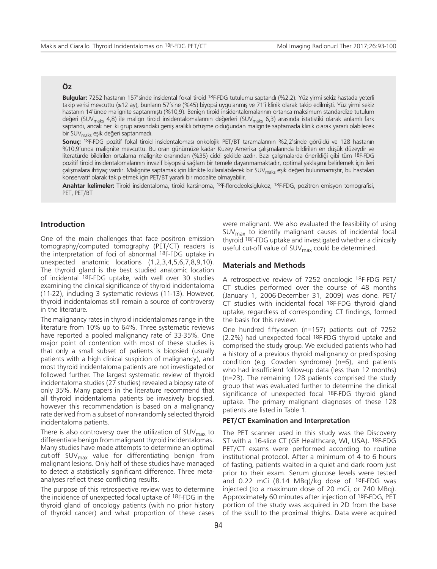# **Öz**

**Bulgular:** 7252 hastanın 157'sinde insidental fokal tiroid 18F-FDG tutulumu saptandı (%2,2). Yüz yirmi sekiz hastada yeterli takip verisi mevcuttu (≥12 ay), bunların 57'sine (%45) biyopsi uygulanmış ve 71'i klinik olarak takip edilmişti. Yüz yirmi sekiz hastanın 14'ünde malignite saptanmıştı (%10,9). Benign tiroid insidentalomalarının ortanca maksimum standardize tutulum değeri (SUV<sub>maks</sub> 4,8) ile malign tiroid insidentalomalarının değerleri (SUV<sub>maks</sub> 6,3) arasında istatistiki olarak anlamlı fark saptandı, ancak her iki grup arasındaki geniş aralıklı örtüşme olduğundan malignite saptamada klinik olarak yararlı olabilecek bir SUVmaks eşik değeri saptanmadı.

**Sonuç:** 18F-FDG pozitif fokal tiroid insidentaloması onkolojik PET/BT taramalarının %2,2'sinde görüldü ve 128 hastanın %10,9'unda malignite mevcuttu. Bu oran günümüze kadar Kuzey Amerika çalışmalarında bildirilen en düşük düzeydir ve literatürde bildirilen ortalama malignite oranından (%35) ciddi şekilde azdır. Bazı çalışmalarda önerildiği gibi tüm 18F-FDG pozitif tiroid insidentalomalarının invazif biyopsisi sağlam bir temele dayanmamaktadır, optimal yaklaşımı belirlemek için ileri çalışmalara ihtiyaç vardır. Malignite saptamak için klinikte kullanılabilecek bir SUV<sub>maks</sub> eşik değeri bulunmamıştır, bu hastaları konservatif olarak takip etmek için PET/BT yararlı bir modalite olmayabilir.

**Anahtar kelimeler:** Tiroid insidentaloma, tiroid karsinoma, 18F-florodeoksiglukoz, 18F-FDG, pozitron emisyon tomografisi, PET, PET/BT

## **Introduction**

One of the main challenges that face positron emission tomography/computed tomography (PET/CT) readers is the interpretation of foci of abnormal 18F-FDG uptake in unexpected anatomic locations (1,2,3,4,5,6,7,8,9,10). The thyroid gland is the best studied anatomic location of incidental 18F-FDG uptake, with well over 30 studies examining the clinical significance of thyroid incidentaloma (11-22), including 3 systematic reviews (11-13). However, thyroid incidentalomas still remain a source of controversy in the literature.

The malignancy rates in thyroid incidentalomas range in the literature from 10% up to 64%. Three systematic reviews have reported a pooled malignancy rate of 33-35%. One major point of contention with most of these studies is that only a small subset of patients is biopsied (usually patients with a high clinical suspicion of malignancy), and most thyroid incidentaloma patients are not investigated or followed further. The largest systematic review of thyroid incidentaloma studies (27 studies) revealed a biopsy rate of only 35%. Many papers in the literature recommend that all thyroid incidentaloma patients be invasively biopsied, however this recommendation is based on a malignancy rate derived from a subset of non-randomly selected thyroid incidentaloma patients.

There is also controversy over the utilization of SUV $_{\text{max}}$  to differentiate benign from malignant thyroid incidentalomas. Many studies have made attempts to determine an optimal cut-off SUV $_{\text{max}}$  value for differentiating benign from malignant lesions. Only half of these studies have managed to detect a statistically significant difference. Three metaanalyses reflect these conflicting results.

The purpose of this retrospective review was to determine the incidence of unexpected focal uptake of 18F-FDG in the thyroid gland of oncology patients (with no prior history of thyroid cancer) and what proportion of these cases were malignant. We also evaluated the feasibility of using SUVmax to identify malignant causes of incidental focal thyroid 18F-FDG uptake and investigated whether a clinically useful cut-off value of  $SUV<sub>max</sub>$  could be determined.

### **Materials and Methods**

A retrospective review of 7252 oncologic 18F-FDG PET/ CT studies performed over the course of 48 months (January 1, 2006-December 31, 2009) was done. PET/ CT studies with incidental focal 18F-FDG thyroid gland uptake, regardless of corresponding CT findings, formed the basis for this review.

One hundred fifty-seven (n=157) patients out of 7252 (2.2%) had unexpected focal 18F-FDG thyroid uptake and comprised the study group. We excluded patients who had a history of a previous thyroid malignancy or predisposing condition (e.g. Cowden syndrome) (n=6), and patients who had insufficient follow-up data (less than 12 months) (n=23). The remaining 128 patients comprised the study group that was evaluated further to determine the clinical significance of unexpected focal 18F-FDG thyroid gland uptake. The primary malignant diagnoses of these 128 patients are listed in Table 1.

#### **PET/CT Examination and Interpretation**

The PET scanner used in this study was the Discovery ST with a 16-slice CT (GE Healthcare, WI, USA). 18F-FDG PET/CT exams were performed according to routine institutional protocol. After a minimum of 4 to 6 hours of fasting, patients waited in a quiet and dark room just prior to their exam. Serum glucose levels were tested and 0.22 mCi (8.14 MBq)/kg dose of 18F-FDG was injected (to a maximum dose of 20 mCi, or 740 MBq). Approximately 60 minutes after injection of 18F-FDG, PET portion of the study was acquired in 2D from the base of the skull to the proximal thighs. Data were acquired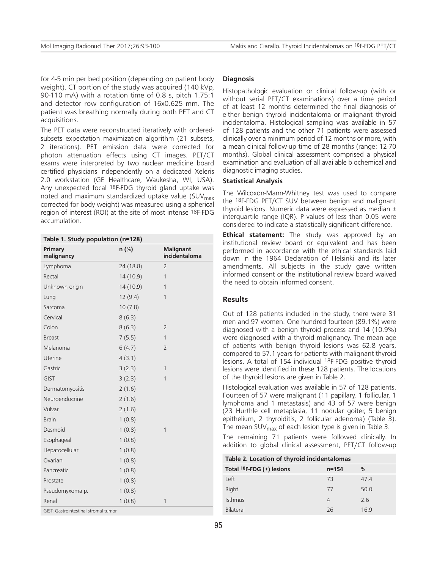for 4-5 min per bed position (depending on patient body weight). CT portion of the study was acquired (140 kVp, 90-110 mA) with a rotation time of 0.8 s, pitch 1.75:1 and detector row configuration of 16x0.625 mm. The patient was breathing normally during both PET and CT acquisitions.

The PET data were reconstructed iteratively with orderedsubsets expectation maximization algorithm (21 subsets, 2 iterations). PET emission data were corrected for photon attenuation effects using CT images. PET/CT exams were interpreted by two nuclear medicine board certified physicians independently on a dedicated Xeleris 2.0 workstation (GE Healthcare, Waukesha, WI, USA). Any unexpected focal 18F-FDG thyroid gland uptake was noted and maximum standardized uptake value (SUV $_{\text{max}}$ corrected for body weight) was measured using a spherical region of interest (ROI) at the site of most intense 18F-FDG accumulation.

**Table 1. Study population (n=128)**

| Primary<br>malignancy | $n$ (%)   | <b>Malignant</b><br>incidentaloma |
|-----------------------|-----------|-----------------------------------|
| Lymphoma              | 24 (18.8) | $\overline{2}$                    |
| Rectal                | 14 (10.9) | 1                                 |
| Unknown origin        | 14 (10.9) | 1                                 |
| Lung                  | 12(9.4)   | 1                                 |
| Sarcoma               | 10(7.8)   |                                   |
| Cervical              | 8(6.3)    |                                   |
| Colon                 | 8(6.3)    | $\overline{2}$                    |
| <b>Breast</b>         | 7(5.5)    | 1                                 |
| Melanoma              | 6(4.7)    | $\overline{2}$                    |
| Uterine               | 4(3.1)    |                                   |
| Gastric               | 3(2.3)    | 1                                 |
| <b>GIST</b>           | 3(2.3)    | 1                                 |
| Dermatomyositis       | 2(1.6)    |                                   |
| Neuroendocrine        | 2(1.6)    |                                   |
| Vulvar                | 2(1.6)    |                                   |
| <b>Brain</b>          | 1(0.8)    |                                   |
| Desmoid               | 1(0.8)    | 1                                 |
| Esophageal            | 1(0.8)    |                                   |
| Hepatocellular        | 1(0.8)    |                                   |
| Ovarian               | 1(0.8)    |                                   |
| Pancreatic            | 1(0.8)    |                                   |
| Prostate              | 1(0.8)    |                                   |
| Pseudomyxoma p.       | 1(0.8)    |                                   |
| Renal                 | 1(0.8)    | 1                                 |

GIST: Gastrointestinal stromal tumor

#### **Diagnosis**

Histopathologic evaluation or clinical follow-up (with or without serial PET/CT examinations) over a time period of at least 12 months determined the final diagnosis of either benign thyroid incidentaloma or malignant thyroid incidentaloma. Histological sampling was available in 57 of 128 patients and the other 71 patients were assessed clinically over a minimum period of 12 months or more, with a mean clinical follow-up time of 28 months (range: 12-70 months). Global clinical assessment comprised a physical examination and evaluation of all available biochemical and diagnostic imaging studies.

#### **Statistical Analysis**

The Wilcoxon-Mann-Whitney test was used to compare the 18F-FDG PET/CT SUV between benign and malignant thyroid lesions. Numeric data were expressed as median ± interquartile range (IQR). P values of less than 0.05 were considered to indicate a statistically significant difference.

**Ethical statement:** The study was approved by an institutional review board or equivalent and has been performed in accordance with the ethical standards laid down in the 1964 Declaration of Helsinki and its later amendments. All subjects in the study gave written informed consent or the institutional review board waived the need to obtain informed consent.

#### **Results**

Out of 128 patients included in the study, there were 31 men and 97 women. One hundred fourteen (89.1%) were diagnosed with a benign thyroid process and 14 (10.9%) were diagnosed with a thyroid malignancy. The mean age of patients with benign thyroid lesions was 62.8 years, compared to 57.1 years for patients with malignant thyroid lesions. A total of 154 individual 18F-FDG positive thyroid lesions were identified in these 128 patients. The locations of the thyroid lesions are given in Table 2.

Histological evaluation was available in 57 of 128 patients. Fourteen of 57 were malignant (11 papillary, 1 follicular, 1 lymphoma and 1 metastasis) and 43 of 57 were benign (23 Hurthle cell metaplasia, 11 nodular goiter, 5 benign epithelium, 2 thyroiditis, 2 follicular adenoma) (Table 3). The mean SUV $_{\text{max}}$  of each lesion type is given in Table 3.

The remaining 71 patients were followed clinically. In addition to global clinical assessment, PET/CT follow-up

**Table 2. Location of thyroid incidentalomas**

| Total 18F-FDG (+) lesions | $n = 154$ | $\frac{0}{0}$ |
|---------------------------|-----------|---------------|
| Left                      | 73        | 47.4          |
| Right                     | 77        | 50.0          |
| <b>Isthmus</b>            |           | 2.6           |
| Bilateral                 | 26        | 16.9          |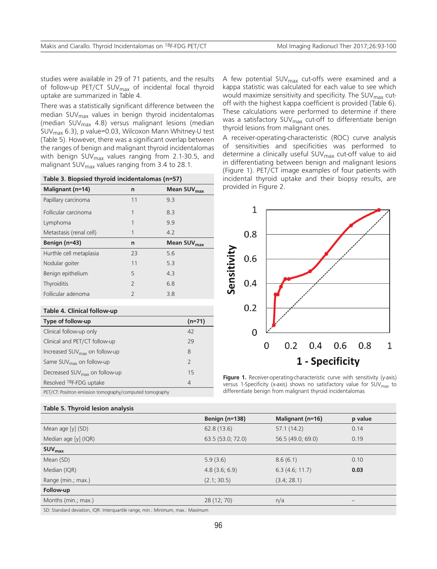studies were available in 29 of 71 patients, and the results of follow-up PET/CT SUV<sub>max</sub> of incidental focal thyroid uptake are summarized in Table 4.

There was a statistically significant difference between the median SUV $_{\text{max}}$  values in benign thyroid incidentalomas (median SUV<sub>max</sub> 4.8) versus malignant lesions (median SUVmax 6.3), p value=0.03, Wilcoxon Mann Whitney-U test (Table 5). However, there was a significant overlap between the ranges of benign and malignant thyroid incidentalomas with benign SUV $_{\text{max}}$  values ranging from 2.1-30.5, and malignant SUV $_{\text{max}}$  values ranging from 3.4 to 28.1.

**Table 3. Biopsied thyroid incidentalomas (n=57)**

A few potential SUV<sub>max</sub> cut-offs were examined and a kappa statistic was calculated for each value to see which would maximize sensitivity and specificity. The  $SUV<sub>max</sub>$  cutoff with the highest kappa coefficient is provided (Table 6). These calculations were performed to determine if there was a satisfactory SUV<sub>max</sub> cut-off to differentiate benign thyroid lesions from malignant ones.

A receiver-operating-characteristic (ROC) curve analysis of sensitivities and specificities was performed to determine a clinically useful  $SUV_{\text{max}}$  cut-off value to aid in differentiating between benign and malignant lesions (Figure 1). PET/CT image examples of four patients with incidental thyroid uptake and their biopsy results, are provided in Figure 2.

| Malignant (n=14)        | n              | Mean SUV <sub>max</sub> |
|-------------------------|----------------|-------------------------|
| Papillary carcinoma     | 11             | 9.3                     |
| Follicular carcinoma    | 1              | 8.3                     |
| Lymphoma                | 1              | 9.9                     |
| Metastasis (renal cell) | 1              | 4.2                     |
| Benign (n=43)           | n              | Mean SUV <sub>max</sub> |
| Hurthle cell metaplasia | 23             | 5.6                     |
| Nodular goiter          | 11             | 5.3                     |
| Benign epithelium       | 5              | 4.3                     |
| Thyroiditis             | $\overline{2}$ | 6.8                     |
| Follicular adenoma      | $\overline{2}$ | 3.8                     |
|                         |                |                         |

#### **Table 4. Clinical follow-up**

| Type of follow-up                     | $(n=71)$      |  |
|---------------------------------------|---------------|--|
| Clinical follow-up only               | 42            |  |
| Clinical and PET/CT follow-up         |               |  |
| Increased $SUVmax$ on follow-up       | 8             |  |
| Same SUV $_{\text{max}}$ on follow-up | $\mathcal{L}$ |  |
| Decreased $SUVmax$ on follow-up       | 15            |  |
| Resolved 18F-FDG uptake               | 4             |  |
|                                       |               |  |



**Figure 1.** Receiver-operating-characteristic curve with sensitivity (y-axis) versus 1-Specificity (x-axis) shows no satisfactory value for  $SUV<sub>max</sub>$  to differentiate benign from malignant thyroid incidentalomas

PET/CT: Positron emission tomography/computed tomography

#### **Table 5. Thyroid lesion analysis**

|                                                                             | <b>Benign (n=138)</b> | Malignant (n=16)          | p value |  |
|-----------------------------------------------------------------------------|-----------------------|---------------------------|---------|--|
| Mean age [y] (SD)                                                           | 62.8(13.6)            | 57.1(14.2)                | 0.14    |  |
| Median age [y] (IQR)                                                        | 63.5 (53.0; 72.0)     | 56.5 (49.0; 69.0)<br>0.19 |         |  |
| <b>SUV</b> <sub>max</sub>                                                   |                       |                           |         |  |
| Mean (SD)                                                                   | 5.9(3.6)              | 8.6(6.1)                  | 0.10    |  |
| Median (IQR)                                                                | 4.8(3.6; 6.9)         | 6.3(4.6; 11.7)            | 0.03    |  |
| Range (min.; max.)                                                          | (2.1; 30.5)           | (3.4; 28.1)               |         |  |
| Follow-up                                                                   |                       |                           |         |  |
| Months (min.; max.)                                                         | 28 (12; 70)           | n/a                       |         |  |
| SD: Standard deviation JOR: Interguartile range min : Minimum max : Maximum |                       |                           |         |  |

SD: Standard deviation, IQR: Interquartile range, min.: Minimum, max.: Maximum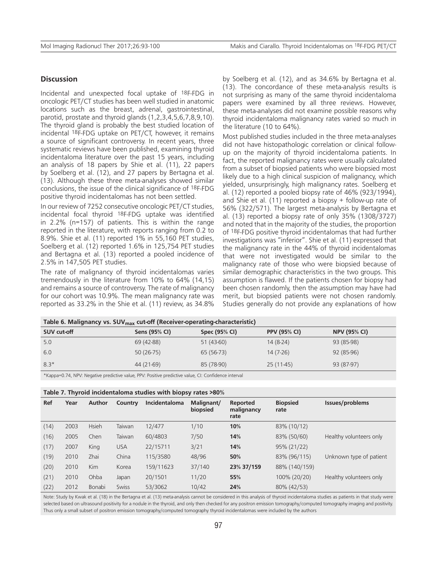# **Discussion**

Incidental and unexpected focal uptake of 18F-FDG in oncologic PET/CT studies has been well studied in anatomic locations such as the breast, adrenal, gastrointestinal, parotid, prostate and thyroid glands (1,2,3,4,5,6,7,8,9,10). The thyroid gland is probably the best studied location of incidental 18F-FDG uptake on PET/CT, however, it remains a source of significant controversy. In recent years, three systematic reviews have been published, examining thyroid incidentaloma literature over the past 15 years, including an analysis of 18 papers by Shie et al. (11), 22 papers by Soelberg et al. (12), and 27 papers by Bertagna et al. (13). Although these three meta-analyses showed similar conclusions, the issue of the clinical significance of 18F-FDG positive thyroid incidentalomas has not been settled.

In our review of 7252 consecutive oncologic PET/CT studies, incidental focal thyroid 18F-FDG uptake was identified in 2.2% (n=157) of patients. This is within the range reported in the literature, with reports ranging from 0.2 to 8.9%. Shie et al. (11) reported 1% in 55,160 PET studies, Soelberg et al. (12) reported 1.6% in 125,754 PET studies and Bertagna et al. (13) reported a pooled incidence of 2.5% in 147,505 PET studies.

The rate of malignancy of thyroid incidentalomas varies tremendously in the literature from 10% to 64% (14,15) and remains a source of controversy. The rate of malignancy for our cohort was 10.9%. The mean malignancy rate was reported as 33.2% in the Shie et al. (11) review, as 34.8%

by Soelberg et al. (12), and as 34.6% by Bertagna et al. (13). The concordance of these meta-analysis results is not surprising as many of the same thyroid incidentaloma papers were examined by all three reviews. However, these meta-analyses did not examine possible reasons why thyroid incidentaloma malignancy rates varied so much in the literature (10 to 64%).

Most published studies included in the three meta-analyses did not have histopathologic correlation or clinical followup on the majority of thyroid incidentaloma patients. In fact, the reported malignancy rates were usually calculated from a subset of biopsied patients who were biopsied most likely due to a high clinical suspicion of malignancy, which yielded, unsurprisingly, high malignancy rates. Soelberg et al. (12) reported a pooled biopsy rate of 46% (923/1994), and Shie et al. (11) reported a biopsy  $+$  follow-up rate of 56% (322/571). The largest meta-analysis by Bertagna et al. (13) reported a biopsy rate of only 35% (1308/3727) and noted that in the majority of the studies, the proportion of 18F-FDG positive thyroid incidentalomas that had further investigations was "inferior". Shie et al. (11) expressed that the malignancy rate in the 44% of thyroid incidentalomas that were not investigated would be similar to the malignancy rate of those who were biopsied because of similar demographic characteristics in the two groups. This assumption is flawed. If the patients chosen for biopsy had been chosen randomly, then the assumption may have had merit, but biopsied patients were not chosen randomly. Studies generally do not provide any explanations of how

| Table 6. Malignancy vs. SUV <sub>max</sub> cut-off (Receiver-operating-characteristic) |               |               |                     |                     |  |  |
|----------------------------------------------------------------------------------------|---------------|---------------|---------------------|---------------------|--|--|
| <b>SUV cut-off</b>                                                                     | Sens (95% CI) | Spec (95% CI) | <b>PPV (95% CI)</b> | <b>NPV (95% CI)</b> |  |  |
| 5.0                                                                                    | 69 (42-88)    | $51(43-60)$   | $14(8-24)$          | 93 (85-98)          |  |  |
| 6.0                                                                                    | $50(26-75)$   | 65 (56-73)    | $14(7-26)$          | 92 (85-96)          |  |  |
| $8.3*$                                                                                 | 44 (21-69)    | 85 (78-90)    | 25 (11-45)          | 93 (87-97)          |  |  |

\*Kappa=0.74, NPV: Negative predictive value, PPV: Positive predictive value, CI: Confidence interval

**Table 7. Thyroid incidentaloma studies with biopsy rates >80%**

| Ref  | Year | Author       | Country      | <b>Incidentaloma</b> | Malignant/<br>biopsied | Reported<br>malignancy<br>rate | <b>Biopsied</b><br>rate | Issues/problems         |
|------|------|--------------|--------------|----------------------|------------------------|--------------------------------|-------------------------|-------------------------|
| (14) | 2003 | <b>Hsieh</b> | Taiwan       | 12/477               | 1/10                   | 10%                            | 83% (10/12)             |                         |
| (16) | 2005 | Chen         | Taiwan       | 60/4803              | 7/50                   | 14%                            | 83% (50/60)             | Healthy volunteers only |
| (17) | 2007 | King         | <b>USA</b>   | 22/15711             | 3/21                   | 14%                            | 95% (21/22)             |                         |
| (19) | 2010 | Zhai         | China        | 115/3580             | 48/96                  | 50%                            | 83% (96/115)            | Unknown type of patient |
| (20) | 2010 | Kim          | Korea        | 159/11623            | 37/140                 | 23% 37/159                     | 88% (140/159)           |                         |
| (21) | 2010 | Ohba         | Japan        | 20/1501              | 11/20                  | 55%                            | 100% (20/20)            | Healthy volunteers only |
| (22) | 2012 | Bonabi       | <b>Swiss</b> | 53/3062              | 10/42                  | 24%                            | 80% (42/53)             |                         |

Note: Study by Kwak et al. (18) in the Bertagna et al. (13) meta-analysis cannot be considered in this analysis of thyroid incidentaloma studies as patients in that study were selected based on ultrasound positivity for a nodule in the thyroid, and only then checked for any positron emission tomography/computed tomography imaging and positivity. Thus only a small subset of positron emission tomography/computed tomography thyroid incidentalomas were included by the authors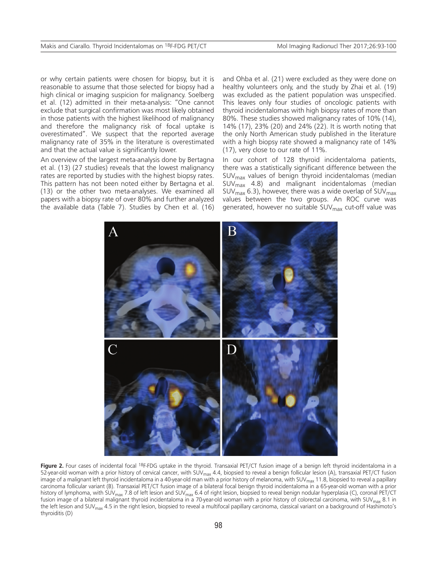or why certain patients were chosen for biopsy, but it is reasonable to assume that those selected for biopsy had a high clinical or imaging suspicion for malignancy. Soelberg et al. (12) admitted in their meta-analysis: "One cannot exclude that surgical confirmation was most likely obtained in those patients with the highest likelihood of malignancy and therefore the malignancy risk of focal uptake is overestimated". We suspect that the reported average malignancy rate of 35% in the literature is overestimated and that the actual value is significantly lower.

An overview of the largest meta-analysis done by Bertagna et al. (13) (27 studies) reveals that the lowest malignancy rates are reported by studies with the highest biopsy rates. This pattern has not been noted either by Bertagna et al. (13) or the other two meta-analyses. We examined all papers with a biopsy rate of over 80% and further analyzed the available data (Table 7). Studies by Chen et al. (16) and Ohba et al. (21) were excluded as they were done on healthy volunteers only, and the study by Zhai et al. (19) was excluded as the patient population was unspecified. This leaves only four studies of oncologic patients with thyroid incidentalomas with high biopsy rates of more than 80%. These studies showed malignancy rates of 10% (14), 14% (17), 23% (20) and 24% (22). It is worth noting that the only North American study published in the literature with a high biopsy rate showed a malignancy rate of 14% (17), very close to our rate of 11%.

In our cohort of 128 thyroid incidentaloma patients, there was a statistically significant difference between the  $SUV_{\text{max}}$  values of benign thyroid incidentalomas (median  $SUV_{max}$  4.8) and malignant incidentalomas (median SUV<sub>max</sub> 6.3), however, there was a wide overlap of SUV<sub>max</sub> values between the two groups. An ROC curve was generated, however no suitable  $SUV_{\text{max}}$  cut-off value was



**Figure 2.** Four cases of incidental focal 18F-FDG uptake in the thyroid. Transaxial PET/CT fusion image of a benign left thyroid incidentaloma in a 52-year-old woman with a prior history of cervical cancer, with SUV<sub>max</sub> 4.4, biopsied to reveal a benign follicular lesion (A), transaxial PET/CT fusion image of a malignant left thyroid incidentaloma in a 40-year-old man with a prior history of melanoma, with SUV<sub>max</sub> 11.8, biopsied to reveal a papillary carcinoma follicular variant (B). Transaxial PET/CT fusion image of a bilateral focal benign thyroid incidentaloma in a 65-year-old woman with a prior history of lymphoma, with SUV<sub>max</sub> 7.8 of left lesion and SUV<sub>max</sub> 6.4 of right lesion, biopsied to reveal benign nodular hyperplasia (C), coronal PET/CT fusion image of a bilateral malignant thyroid incidentaloma in a 70-year-old woman with a prior history of colorectal carcinoma, with SUV<sub>max</sub> 8.1 in the left lesion and SUV<sub>max</sub> 4.5 in the right lesion, biopsied to reveal a multifocal papillary carcinoma, classical variant on a background of Hashimoto's thyroiditis (D)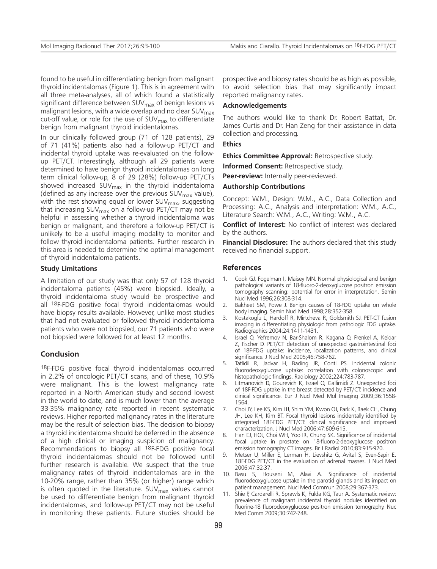found to be useful in differentiating benign from malignant thyroid incidentalomas (Figure 1). This is in agreement with all three meta-analyses, all of which found a statistically significant difference between  $SUV_{max}$  of benign lesions vs malignant lesions, with a wide overlap and no clear SUV $_{\text{max}}$ cut-off value, or role for the use of  $SUV<sub>max</sub>$  to differentiate benign from malignant thyroid incidentalomas.

In our clinically followed group (71 of 128 patients), 29 of 71 (41%) patients also had a follow-up PET/CT and incidental thyroid uptake was re-evaluated on the followup PET/CT. Interestingly, although all 29 patients were determined to have benign thyroid incidentalomas on long term clinical follow-up, 8 of 29 (28%) follow-up PET/CTs showed increased SUV<sub>max</sub> in the thyroid incidentaloma (defined as any increase over the previous  $SUV<sub>max</sub>$  value), with the rest showing equal or lower SUV<sub>max</sub>, suggesting that increasing  $SUV_{max}$  on a follow-up PET/CT may not be helpful in assessing whether a thyroid incidentaloma was benign or malignant, and therefore a follow-up PET/CT is unlikely to be a useful imaging modality to monitor and follow thyroid incidentaloma patients. Further research in this area is needed to determine the optimal management of thyroid incidentaloma patients.

#### **Study Limitations**

A limitation of our study was that only 57 of 128 thyroid incidentaloma patients (45%) were biopsied. Ideally, a thyroid incidentaloma study would be prospective and all <sup>18</sup>F-FDG positive focal thyroid incidentalomas would have biopsy results available. However, unlike most studies that had not evaluated or followed thyroid incidentaloma patients who were not biopsied, our 71 patients who were not biopsied were followed for at least 12 months.

### **Conclusion**

18F-FDG positive focal thyroid incidentalomas occurred in 2.2% of oncologic PET/CT scans, and of these, 10.9% were malignant. This is the lowest malignancy rate reported in a North American study and second lowest in the world to date, and is much lower than the average 33-35% malignancy rate reported in recent systematic reviews. Higher reported malignancy rates in the literature may be the result of selection bias. The decision to biopsy a thyroid incidentaloma should be deferred in the absence of a high clinical or imaging suspicion of malignancy. Recommendations to biopsy all 18F-FDG positive focal thyroid incidentalomas should not be followed until further research is available. We suspect that the true malignancy rates of thyroid incidentalomas are in the 10-20% range, rather than 35% (or higher) range which is often quoted in the literature.  $\text{SUV}_{\text{max}}$  values cannot be used to differentiate benign from malignant thyroid incidentalomas, and follow-up PET/CT may not be useful in monitoring these patients. Future studies should be

prospective and biopsy rates should be as high as possible, to avoid selection bias that may significantly impact reported malignancy rates.

### **Acknowledgements**

The authors would like to thank Dr. Robert Battat, Dr. James Curtis and Dr. Han Zeng for their assistance in data collection and processing.

## **Ethics**

**Ethics Committee Approval:** Retrospective study.

**Informed Consent:** Retrospective study.

**Peer-review:** Internally peer-reviewed.

#### **Authorship Contributions**

Concept: W.M., Design: W.M., A.C., Data Collection and Processing: A.C., Analysis and interpretation: W.M., A.C., Literature Search: W.M., A.C., Writing: W.M., A.C.

**Conflict of Interest:** No conflict of interest was declared by the authors.

**Financial Disclosure:** The authors declared that this study received no financial support.

#### **References**

- 1. Cook GJ, Fogelman I, Maisey MN. Normal physiological and benign pathological variants of 18-fluoro-2-deoxyglucose positron emission tomography scanning: potential for error in interpretation. Semin Nucl Med 1996;26:308-314.
- 2. Bakheet SM, Powe J. Benign causes of 18-FDG uptake on whole body imaging. Semin Nucl Med 1998;28:352-358.
- 3. Kostakoglu L, Hardoff R, Mirtcheva R, Goldsmith SJ. PET-CT fusion imaging in differentiating physiologic from pathologic FDG uptake. Radiographics 2004;24:1411-1431.
- 4. Israel O, Yefremov N, Bar-Shalom R, Kagana O, Frenkel A, Keidar Z, Fischer D. PET/CT detection of unexpected gastrointestinal foci of 18F-FDG uptake: incidence, localization patterns, and clinical significance. J Nucl Med 2005;46:758-762.
- 5. Tatlidil R, Jadvar H, Bading JR, Conti PS. Incidental colonic fluorodeoxyglucose uptake: correlation with colonoscopic and histopathologic findings. Radiology 2002;224:783-787.
- 6. Litmanovich D, Gourevich K, Israel O, Gallimidi Z. Unexpected foci of 18F-FDG uptake in the breast detected by PET/CT: incidence and clinical significance. Eur J Nucl Med Mol Imaging 2009;36:1558- 1564.
- 7. Choi JY, Lee KS, Kim HJ, Shim YM, Kwon OJ, Park K, Baek CH, Chung JH, Lee KH, Kim BT. Focal thyroid lesions incidentally identified by integrated 18F-FDG PET/CT: clinical significance and improved characterization. J Nucl Med 2006;47:609-615.
- 8. Han EJ, HOJ, Choi WH, Yoo IR, Chung SK. Significance of incidental focal uptake in prostate on 18-fluoro-2-deoxyglucose positron emission tomography CT images. Br J Radiol 2010;83:915-920.
- 9. Metser U, Miller E, Lerman H, Lievshitz G, Avital S, Even-Sapir E. 18F-FDG PET/CT in the evaluation of adrenal masses. J Nucl Med 2006;47:32-37.
- 10. Basu S, Houseni M, Alavi A. Significance of incidental fluorodeoxyglucose uptake in the parotid glands and its impact on patient management. Nucl Med Commun 2008;29:367-373.
- 11. Shie P, Cardarelli R, Sprawls K, Fulda KG, Taur A. Systematic review: prevalence of malignant incidental thyroid nodules identified on fluorine-18 fluorodeoxyglucose positron emission tomography. Nuc Med Comm 2009;30:742-748.